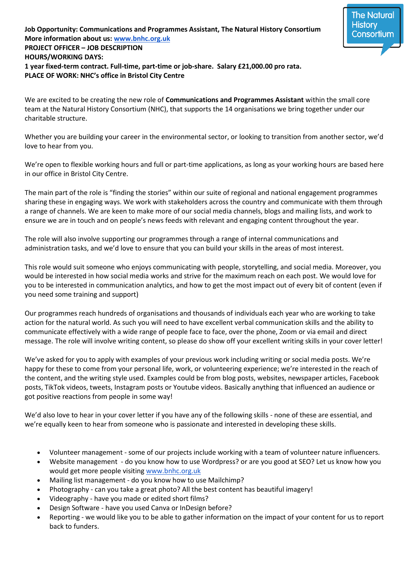## **Job Opportunity: Communications and Programmes Assistant, The Natural History Consortium More information about us: [www.bnhc.org.uk](http://www.bnhc.org.uk/) PROJECT OFFICER – JOB DESCRIPTION HOURS/WORKING DAYS: 1 year fixed-term contract. Full-time, part-time or job-share. Salary £21,000.00 pro rata. PLACE OF WORK: NHC's office in Bristol City Centre**

We are excited to be creating the new role of **Communications and Programmes Assistant** within the small core team at the Natural History Consortium (NHC), that supports the 14 organisations we bring together under our charitable structure.

The Natural **History** Consortiur

Whether you are building your career in the environmental sector, or looking to transition from another sector, we'd love to hear from you.

We're open to flexible working hours and full or part-time applications, as long as your working hours are based here in our office in Bristol City Centre.

The main part of the role is "finding the stories" within our suite of regional and national engagement programmes sharing these in engaging ways. We work with stakeholders across the country and communicate with them through a range of channels. We are keen to make more of our social media channels, blogs and mailing lists, and work to ensure we are in touch and on people's news feeds with relevant and engaging content throughout the year.

The role will also involve supporting our programmes through a range of internal communications and administration tasks, and we'd love to ensure that you can build your skills in the areas of most interest.

This role would suit someone who enjoys communicating with people, storytelling, and social media. Moreover, you would be interested in how social media works and strive for the maximum reach on each post. We would love for you to be interested in communication analytics, and how to get the most impact out of every bit of content (even if you need some training and support)

Our programmes reach hundreds of organisations and thousands of individuals each year who are working to take action for the natural world. As such you will need to have excellent verbal communication skills and the ability to communicate effectively with a wide range of people face to face, over the phone, Zoom or via email and direct message. The role will involve writing content, so please do show off your excellent writing skills in your cover letter!

We've asked for you to apply with examples of your previous work including writing or social media posts. We're happy for these to come from your personal life, work, or volunteering experience; we're interested in the reach of the content, and the writing style used. Examples could be from blog posts, websites, newspaper articles, Facebook posts, TikTok videos, tweets, Instagram posts or Youtube videos. Basically anything that influenced an audience or got positive reactions from people in some way!

We'd also love to hear in your cover letter if you have any of the following skills - none of these are essential, and we're equally keen to hear from someone who is passionate and interested in developing these skills.

- Volunteer management some of our projects include working with a team of volunteer nature influencers.
- Website management do you know how to use Wordpress? or are you good at SEO? Let us know how you would get more people visitin[g www.bnhc.org.uk](http://www.bnhc.org.uk/)
- Mailing list management do you know how to use Mailchimp?
- Photography can you take a great photo? All the best content has beautiful imagery!
- Videography have you made or edited short films?
- Design Software have you used Canva or InDesign before?
- Reporting we would like you to be able to gather information on the impact of your content for us to report back to funders.